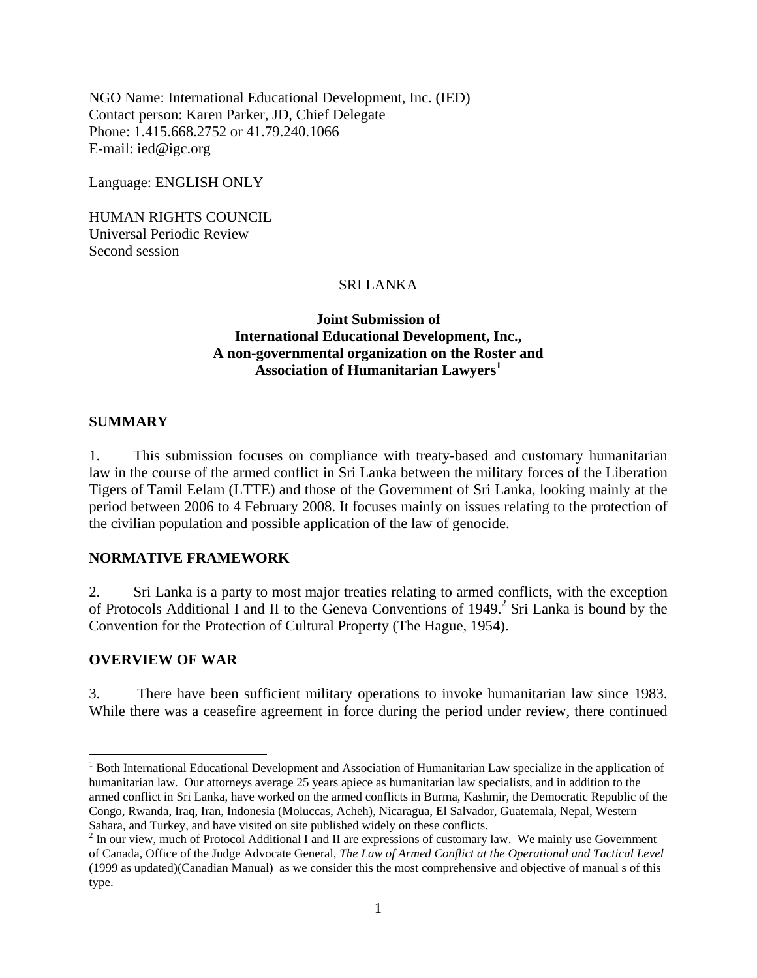NGO Name: International Educational Development, Inc. (IED) Contact person: Karen Parker, JD, Chief Delegate Phone: 1.415.668.2752 or 41.79.240.1066 E-mail: ied@igc.org

Language: ENGLISH ONLY

HUMAN RIGHTS COUNCIL Universal Periodic Review Second session

## SRI LANKA

## **Joint Submission of International Educational Development, Inc., A non-governmental organization on the Roster and**  Association of Humanitarian Lawyers<sup>1</sup>

## **SUMMARY**

1. This submission focuses on compliance with treaty-based and customary humanitarian law in the course of the armed conflict in Sri Lanka between the military forces of the Liberation Tigers of Tamil Eelam (LTTE) and those of the Government of Sri Lanka, looking mainly at the period between 2006 to 4 February 2008. It focuses mainly on issues relating to the protection of the civilian population and possible application of the law of genocide.

## **NORMATIVE FRAMEWORK**

2. Sri Lanka is a party to most major treaties relating to armed conflicts, with the exception of Protocols Additional I and II to the Geneva Conventions of 1949.<sup>2</sup> Sri Lanka is bound by the Convention for the Protection of Cultural Property (The Hague, 1954).

#### **OVERVIEW OF WAR**

 $\overline{a}$ 

3. There have been sufficient military operations to invoke humanitarian law since 1983. While there was a ceasefire agreement in force during the period under review, there continued

<sup>&</sup>lt;sup>1</sup> Both International Educational Development and Association of Humanitarian Law specialize in the application of humanitarian law. Our attorneys average 25 years apiece as humanitarian law specialists, and in addition to the armed conflict in Sri Lanka, have worked on the armed conflicts in Burma, Kashmir, the Democratic Republic of the Congo, Rwanda, Iraq, Iran, Indonesia (Moluccas, Acheh), Nicaragua, El Salvador, Guatemala, Nepal, Western Sahara, and Turkey, and have visited on site published widely on these conflicts.

 $2 \text{ In our view, much of Protocol Additional I and II are expressions of customary law. We mainly use Government.}$ of Canada, Office of the Judge Advocate General, *The Law of Armed Conflict at the Operational and Tactical Level* (1999 as updated)(Canadian Manual) as we consider this the most comprehensive and objective of manual s of this type.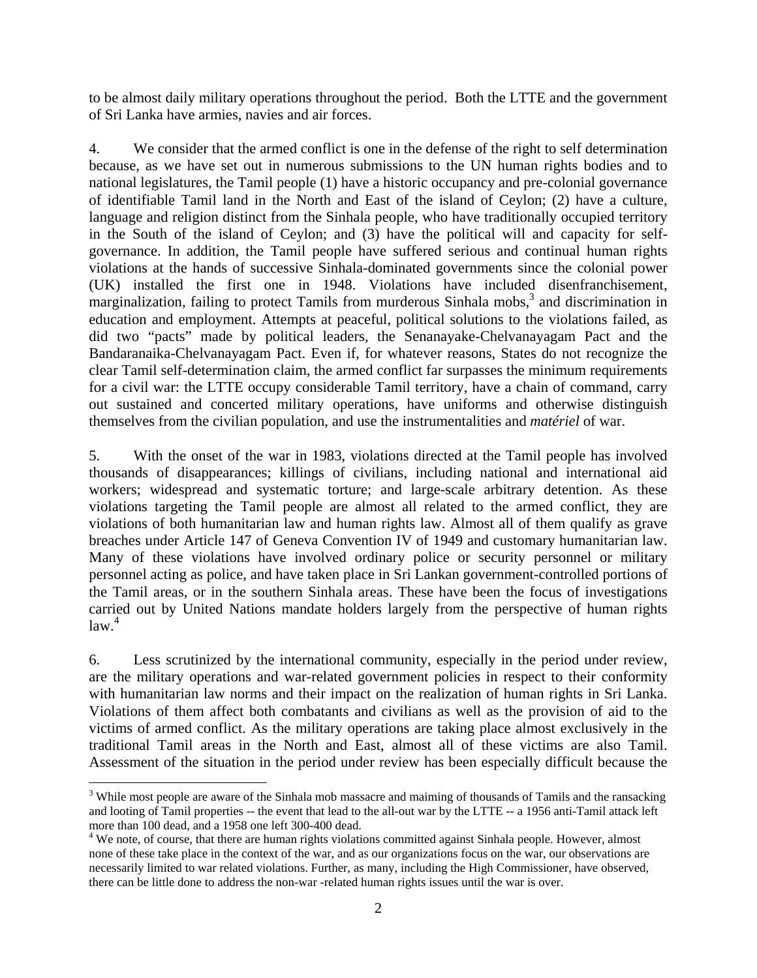to be almost daily military operations throughout the period. Both the LTTE and the government of Sri Lanka have armies, navies and air forces.

4. We consider that the armed conflict is one in the defense of the right to self determination because, as we have set out in numerous submissions to the UN human rights bodies and to national legislatures, the Tamil people (1) have a historic occupancy and pre-colonial governance of identifiable Tamil land in the North and East of the island of Ceylon; (2) have a culture, language and religion distinct from the Sinhala people, who have traditionally occupied territory in the South of the island of Ceylon; and (3) have the political will and capacity for selfgovernance. In addition, the Tamil people have suffered serious and continual human rights violations at the hands of successive Sinhala-dominated governments since the colonial power (UK) installed the first one in 1948. Violations have included disenfranchisement, marginalization, failing to protect Tamils from murderous Sinhala mobs, $3$  and discrimination in education and employment. Attempts at peaceful, political solutions to the violations failed, as did two "pacts" made by political leaders, the Senanayake-Chelvanayagam Pact and the Bandaranaika-Chelvanayagam Pact. Even if, for whatever reasons, States do not recognize the clear Tamil self-determination claim, the armed conflict far surpasses the minimum requirements for a civil war: the LTTE occupy considerable Tamil territory, have a chain of command, carry out sustained and concerted military operations, have uniforms and otherwise distinguish themselves from the civilian population, and use the instrumentalities and *matériel* of war.

5. With the onset of the war in 1983, violations directed at the Tamil people has involved thousands of disappearances; killings of civilians, including national and international aid workers; widespread and systematic torture; and large-scale arbitrary detention. As these violations targeting the Tamil people are almost all related to the armed conflict, they are violations of both humanitarian law and human rights law. Almost all of them qualify as grave breaches under Article 147 of Geneva Convention IV of 1949 and customary humanitarian law. Many of these violations have involved ordinary police or security personnel or military personnel acting as police, and have taken place in Sri Lankan government-controlled portions of the Tamil areas, or in the southern Sinhala areas. These have been the focus of investigations carried out by United Nations mandate holders largely from the perspective of human rights  $law.<sup>4</sup>$ 

6. Less scrutinized by the international community, especially in the period under review, are the military operations and war-related government policies in respect to their conformity with humanitarian law norms and their impact on the realization of human rights in Sri Lanka. Violations of them affect both combatants and civilians as well as the provision of aid to the victims of armed conflict. As the military operations are taking place almost exclusively in the traditional Tamil areas in the North and East, almost all of these victims are also Tamil. Assessment of the situation in the period under review has been especially difficult because the

 $\overline{a}$ 

<sup>&</sup>lt;sup>3</sup> While most people are aware of the Sinhala mob massacre and maiming of thousands of Tamils and the ransacking and looting of Tamil properties -- the event that lead to the all-out war by the LTTE -- a 1956 anti-Tamil attack left more than 100 dead, and a 1958 one left 300-400 dead.

<sup>&</sup>lt;sup>4</sup> We note, of course, that there are human rights violations committed against Sinhala people. However, almost none of these take place in the context of the war, and as our organizations focus on the war, our observations are necessarily limited to war related violations. Further, as many, including the High Commissioner, have observed, there can be little done to address the non-war -related human rights issues until the war is over.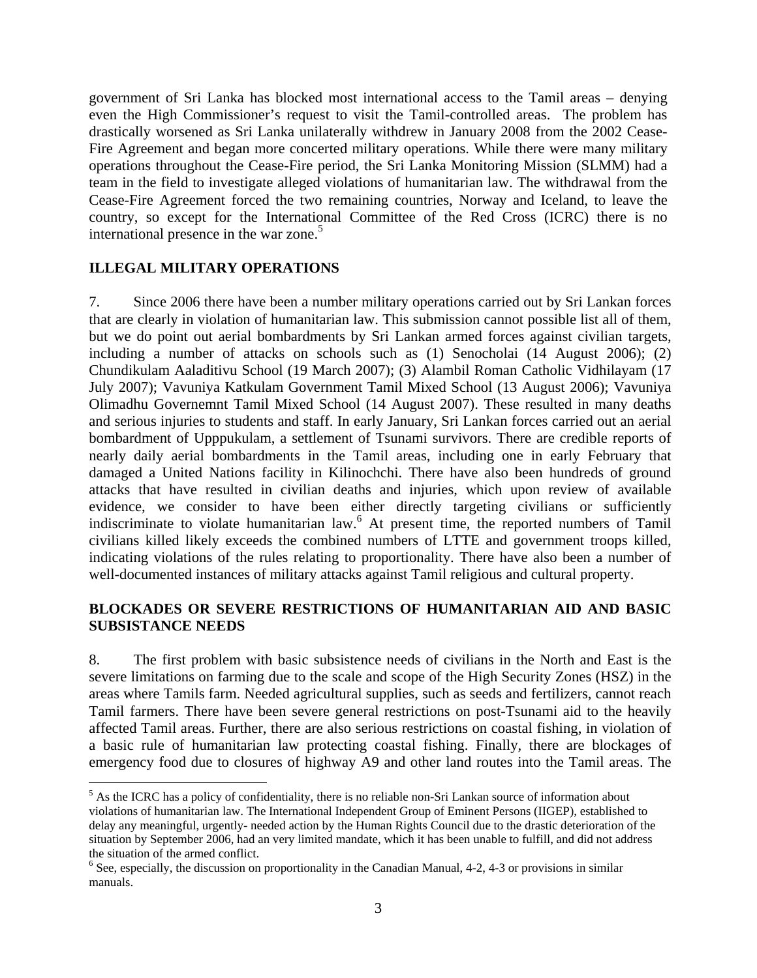government of Sri Lanka has blocked most international access to the Tamil areas – denying even the High Commissioner's request to visit the Tamil-controlled areas. The problem has drastically worsened as Sri Lanka unilaterally withdrew in January 2008 from the 2002 Cease-Fire Agreement and began more concerted military operations. While there were many military operations throughout the Cease-Fire period, the Sri Lanka Monitoring Mission (SLMM) had a team in the field to investigate alleged violations of humanitarian law. The withdrawal from the Cease-Fire Agreement forced the two remaining countries, Norway and Iceland, to leave the country, so except for the International Committee of the Red Cross (ICRC) there is no international presence in the war zone.<sup>5</sup>

## **ILLEGAL MILITARY OPERATIONS**

 $\overline{a}$ 

7. Since 2006 there have been a number military operations carried out by Sri Lankan forces that are clearly in violation of humanitarian law. This submission cannot possible list all of them, but we do point out aerial bombardments by Sri Lankan armed forces against civilian targets, including a number of attacks on schools such as (1) Senocholai (14 August 2006); (2) Chundikulam Aaladitivu School (19 March 2007); (3) Alambil Roman Catholic Vidhilayam (17 July 2007); Vavuniya Katkulam Government Tamil Mixed School (13 August 2006); Vavuniya Olimadhu Governemnt Tamil Mixed School (14 August 2007). These resulted in many deaths and serious injuries to students and staff. In early January, Sri Lankan forces carried out an aerial bombardment of Upppukulam, a settlement of Tsunami survivors. There are credible reports of nearly daily aerial bombardments in the Tamil areas, including one in early February that damaged a United Nations facility in Kilinochchi. There have also been hundreds of ground attacks that have resulted in civilian deaths and injuries, which upon review of available evidence, we consider to have been either directly targeting civilians or sufficiently indiscriminate to violate humanitarian law.<sup>6</sup> At present time, the reported numbers of Tamil civilians killed likely exceeds the combined numbers of LTTE and government troops killed, indicating violations of the rules relating to proportionality. There have also been a number of well-documented instances of military attacks against Tamil religious and cultural property.

## **BLOCKADES OR SEVERE RESTRICTIONS OF HUMANITARIAN AID AND BASIC SUBSISTANCE NEEDS**

8. The first problem with basic subsistence needs of civilians in the North and East is the severe limitations on farming due to the scale and scope of the High Security Zones (HSZ) in the areas where Tamils farm. Needed agricultural supplies, such as seeds and fertilizers, cannot reach Tamil farmers. There have been severe general restrictions on post-Tsunami aid to the heavily affected Tamil areas. Further, there are also serious restrictions on coastal fishing, in violation of a basic rule of humanitarian law protecting coastal fishing. Finally, there are blockages of emergency food due to closures of highway A9 and other land routes into the Tamil areas. The

 $<sup>5</sup>$  As the ICRC has a policy of confidentiality, there is no reliable non-Sri Lankan source of information about</sup> violations of humanitarian law. The International Independent Group of Eminent Persons (IIGEP), established to delay any meaningful, urgently- needed action by the Human Rights Council due to the drastic deterioration of the situation by September 2006, had an very limited mandate, which it has been unable to fulfill, and did not address the situation of the armed conflict.

<sup>&</sup>lt;sup>6</sup> See, especially, the discussion on proportionality in the Canadian Manual, 4-2, 4-3 or provisions in similar manuals.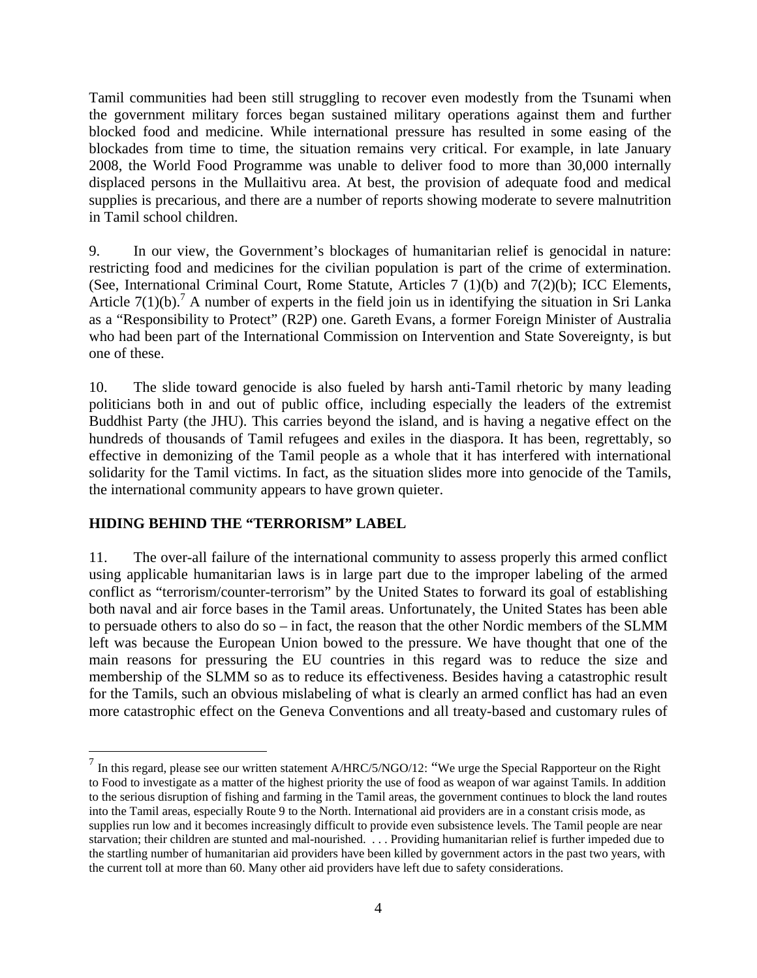Tamil communities had been still struggling to recover even modestly from the Tsunami when the government military forces began sustained military operations against them and further blocked food and medicine. While international pressure has resulted in some easing of the blockades from time to time, the situation remains very critical. For example, in late January 2008, the World Food Programme was unable to deliver food to more than 30,000 internally displaced persons in the Mullaitivu area. At best, the provision of adequate food and medical supplies is precarious, and there are a number of reports showing moderate to severe malnutrition in Tamil school children.

9. In our view, the Government's blockages of humanitarian relief is genocidal in nature: restricting food and medicines for the civilian population is part of the crime of extermination. (See, International Criminal Court, Rome Statute, Articles 7 (1)(b) and 7(2)(b); ICC Elements, Article  $7(1)(b)$ .<sup>7</sup> A number of experts in the field join us in identifying the situation in Sri Lanka as a "Responsibility to Protect" (R2P) one. Gareth Evans, a former Foreign Minister of Australia who had been part of the International Commission on Intervention and State Sovereignty, is but one of these.

10. The slide toward genocide is also fueled by harsh anti-Tamil rhetoric by many leading politicians both in and out of public office, including especially the leaders of the extremist Buddhist Party (the JHU). This carries beyond the island, and is having a negative effect on the hundreds of thousands of Tamil refugees and exiles in the diaspora. It has been, regrettably, so effective in demonizing of the Tamil people as a whole that it has interfered with international solidarity for the Tamil victims. In fact, as the situation slides more into genocide of the Tamils, the international community appears to have grown quieter.

# **HIDING BEHIND THE "TERRORISM" LABEL**

 $\overline{a}$ 

11. The over-all failure of the international community to assess properly this armed conflict using applicable humanitarian laws is in large part due to the improper labeling of the armed conflict as "terrorism/counter-terrorism" by the United States to forward its goal of establishing both naval and air force bases in the Tamil areas. Unfortunately, the United States has been able to persuade others to also do so – in fact, the reason that the other Nordic members of the SLMM left was because the European Union bowed to the pressure. We have thought that one of the main reasons for pressuring the EU countries in this regard was to reduce the size and membership of the SLMM so as to reduce its effectiveness. Besides having a catastrophic result for the Tamils, such an obvious mislabeling of what is clearly an armed conflict has had an even more catastrophic effect on the Geneva Conventions and all treaty-based and customary rules of

 $<sup>7</sup>$  In this regard, please see our written statement A/HRC/5/NGO/12: "We urge the Special Rapporteur on the Right</sup> to Food to investigate as a matter of the highest priority the use of food as weapon of war against Tamils. In addition to the serious disruption of fishing and farming in the Tamil areas, the government continues to block the land routes into the Tamil areas, especially Route 9 to the North. International aid providers are in a constant crisis mode, as supplies run low and it becomes increasingly difficult to provide even subsistence levels. The Tamil people are near starvation; their children are stunted and mal-nourished. . . . Providing humanitarian relief is further impeded due to the startling number of humanitarian aid providers have been killed by government actors in the past two years, with the current toll at more than 60. Many other aid providers have left due to safety considerations.